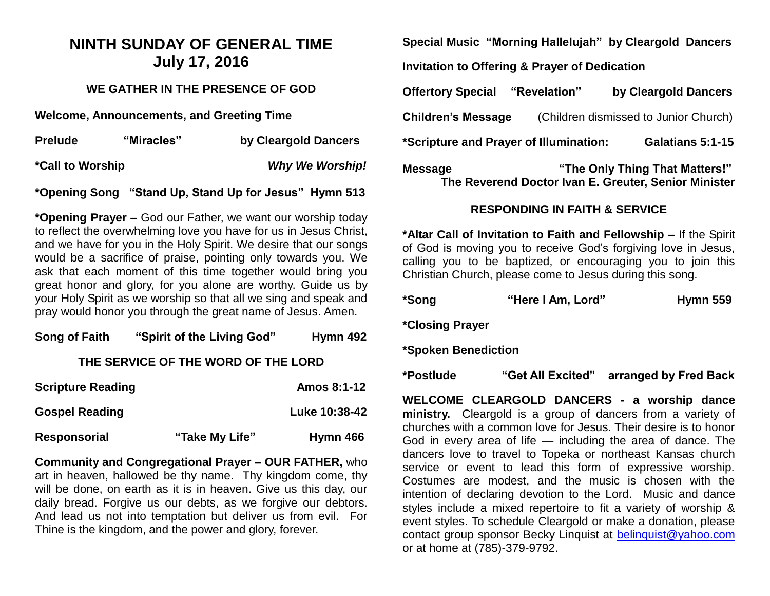## **NINTH SUNDAY OF GENERAL TIME July 17, 2016**

### **WE GATHER IN THE PRESENCE OF GOD**

**Welcome, Announcements, and Greeting Time** 

| <b>Prelude</b>          | "Miracles" | by Cleargold Dancers   |
|-------------------------|------------|------------------------|
| <b>*Call to Worship</b> |            | <b>Why We Worship!</b> |

#### **\*Opening Song "Stand Up, Stand Up for Jesus" Hymn 513**

**\*Opening Prayer –** God our Father, we want our worship today to reflect the overwhelming love you have for us in Jesus Christ, and we have for you in the Holy Spirit. We desire that our songs would be a sacrifice of praise, pointing only towards you. We ask that each moment of this time together would bring you great honor and glory, for you alone are worthy. Guide us by your Holy Spirit as we worship so that all we sing and speak and pray would honor you through the great name of Jesus. Amen.

| Song of Faith                       | "Spirit of the Living God" | Hymn 492      |  |
|-------------------------------------|----------------------------|---------------|--|
| THE SERVICE OF THE WORD OF THE LORD |                            |               |  |
| <b>Scripture Reading</b>            |                            | Amos 8:1-12   |  |
| <b>Gospel Reading</b>               |                            | Luke 10:38-42 |  |

| Responsorial | "Take My Life" | Hymn 466 |
|--------------|----------------|----------|

**Community and Congregational Prayer – OUR FATHER,** who art in heaven, hallowed be thy name. Thy kingdom come, thy will be done, on earth as it is in heaven. Give us this day, our daily bread. Forgive us our debts, as we forgive our debtors. And lead us not into temptation but deliver us from evil. For Thine is the kingdom, and the power and glory, forever.

**Special Music "Morning Hallelujah" by Cleargold Dancers**

**Invitation to Offering & Prayer of Dedication** 

| <b>Offertory Special</b>               | "Revelation" | by Cleargold Dancers                  |
|----------------------------------------|--------------|---------------------------------------|
| <b>Children's Message</b>              |              | (Children dismissed to Junior Church) |
| *Scripture and Prayer of Illumination: |              | Galatians 5:1-15                      |
| <b>Message</b>                         |              | "The Only Thing That Matters!"        |

**RESPONDING IN FAITH & SERVICE**

**The Reverend Doctor Ivan E. Greuter, Senior Minister**

**\*Altar Call of Invitation to Faith and Fellowship –** If the Spirit of God is moving you to receive God's forgiving love in Jesus, calling you to be baptized, or encouraging you to join this Christian Church, please come to Jesus during this song.

| <b>Hymn 559</b> |
|-----------------|
|                 |

**\*Closing Prayer**

**\*Spoken Benediction**

**\*Postlude "Get All Excited" arranged by Fred Back**

**WELCOME CLEARGOLD DANCERS - a worship dance ministry.** Cleargold is a group of dancers from a variety of churches with a common love for Jesus. Their desire is to honor God in every area of life — including the area of dance. The dancers love to travel to Topeka or northeast Kansas church service or event to lead this form of expressive worship. Costumes are modest, and the music is chosen with the intention of declaring devotion to the Lord. Music and dance styles include a mixed repertoire to fit a variety of worship & event styles. To schedule Cleargold or make a donation, please contact group sponsor Becky Linquist at [belinquist@yahoo.com](mailto:belinquist@yahoo.com) or at home at (785)-379-9792.